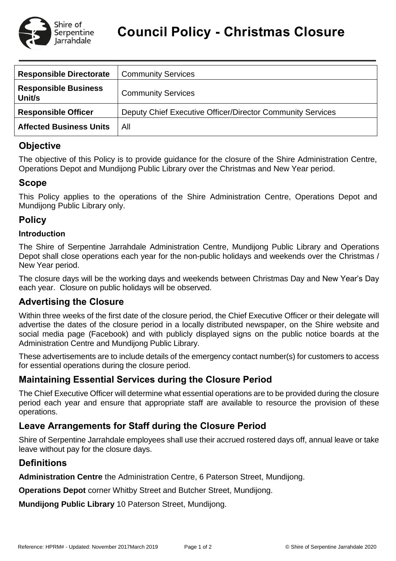

| <b>Responsible Directorate</b>        | <b>Community Services</b>                                  |
|---------------------------------------|------------------------------------------------------------|
| <b>Responsible Business</b><br>Unit/s | <b>Community Services</b>                                  |
| <b>Responsible Officer</b>            | Deputy Chief Executive Officer/Director Community Services |
| <b>Affected Business Units</b>        | All                                                        |

### **Objective**

The objective of this Policy is to provide guidance for the closure of the Shire Administration Centre, Operations Depot and Mundijong Public Library over the Christmas and New Year period.

## **Scope**

This Policy applies to the operations of the Shire Administration Centre, Operations Depot and Mundijong Public Library only.

## **Policy**

#### **Introduction**

The Shire of Serpentine Jarrahdale Administration Centre, Mundijong Public Library and Operations Depot shall close operations each year for the non-public holidays and weekends over the Christmas / New Year period.

The closure days will be the working days and weekends between Christmas Day and New Year's Day each year. Closure on public holidays will be observed.

#### **Advertising the Closure**

Within three weeks of the first date of the closure period, the Chief Executive Officer or their delegate will advertise the dates of the closure period in a locally distributed newspaper, on the Shire website and social media page (Facebook) and with publicly displayed signs on the public notice boards at the Administration Centre and Mundijong Public Library.

These advertisements are to include details of the emergency contact number(s) for customers to access for essential operations during the closure period.

### **Maintaining Essential Services during the Closure Period**

The Chief Executive Officer will determine what essential operations are to be provided during the closure period each year and ensure that appropriate staff are available to resource the provision of these operations.

## **Leave Arrangements for Staff during the Closure Period**

Shire of Serpentine Jarrahdale employees shall use their accrued rostered days off, annual leave or take leave without pay for the closure days.

#### **Definitions**

**Administration Centre** the Administration Centre, 6 Paterson Street, Mundijong.

**Operations Depot** corner Whitby Street and Butcher Street, Mundijong.

**Mundijong Public Library** 10 Paterson Street, Mundijong.